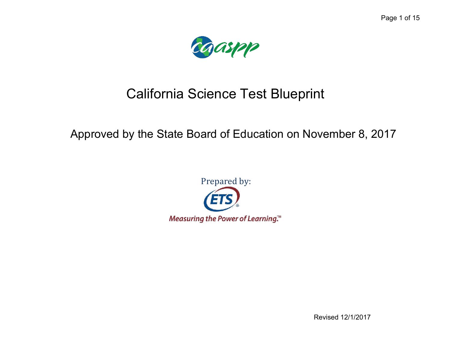

# California Science Test Blueprint

## Approved by the State Board of Education on November 8, 2017



Revised 12/1/2017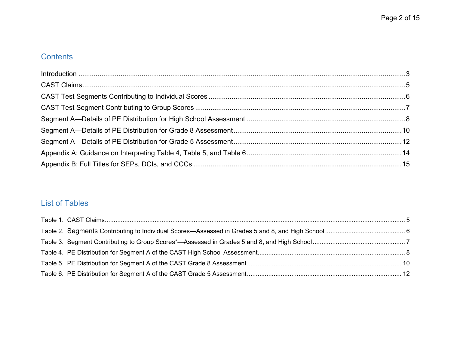## **Contents**

## List of Tables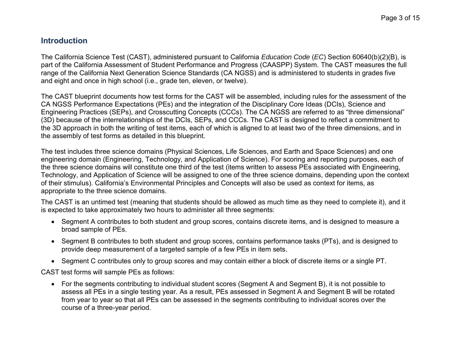## <span id="page-2-0"></span>**Introduction**

The California Science Test (CAST), administered pursuant to California *Education Code* (*EC*) Section 60640(b)(2)(B), is part of the California Assessment of Student Performance and Progress (CAASPP) System. The CAST measures the full range of the California Next Generation Science Standards (CA NGSS) and is administered to students in grades five and eight and once in high school (i.e., grade ten, eleven, or twelve).

The CAST blueprint documents how test forms for the CAST will be assembled, including rules for the assessment of the CA NGSS Performance Expectations (PEs) and the integration of the Disciplinary Core Ideas (DCIs), Science and Engineering Practices (SEPs), and Crosscutting Concepts (CCCs). The CA NGSS are referred to as "three dimensional" (3D) because of the interrelationships of the DCIs, SEPs, and CCCs. The CAST is designed to reflect a commitment to the 3D approach in both the writing of test items, each of which is aligned to at least two of the three dimensions, and in the assembly of test forms as detailed in this blueprint.

The test includes three science domains (Physical Sciences, Life Sciences, and Earth and Space Sciences) and one engineering domain (Engineering, Technology, and Application of Science). For scoring and reporting purposes, each of the three science domains will constitute one third of the test (items written to assess PEs associated with Engineering, Technology, and Application of Science will be assigned to one of the three science domains, depending upon the context of their stimulus). California's Environmental Principles and Concepts will also be used as context for items, as appropriate to the three science domains.

The CAST is an untimed test (meaning that students should be allowed as much time as they need to complete it), and it is expected to take approximately two hours to administer all three segments:

- Segment A contributes to both student and group scores, contains discrete items, and is designed to measure a broad sample of PEs.
- Segment B contributes to both student and group scores, contains performance tasks (PTs), and is designed to provide deep measurement of a targeted sample of a few PEs in item sets.
- Segment C contributes only to group scores and may contain either a block of discrete items or a single PT.

CAST test forms will sample PEs as follows:

 For the segments contributing to individual student scores (Segment A and Segment B), it is not possible to assess all PEs in a single testing year. As a result, PEs assessed in Segment A and Segment B will be rotated from year to year so that all PEs can be assessed in the segments contributing to individual scores over the course of a three-year period.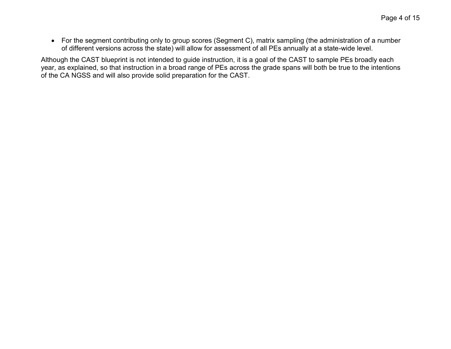For the segment contributing only to group scores (Segment C), matrix sampling (the administration of a number of different versions across the state) will allow for assessment of all PEs annually at a state-wide level.

Although the CAST blueprint is not intended to guide instruction, it is a goal of the CAST to sample PEs broadly each year, as explained, so that instruction in a broad range of PEs across the grade spans will both be true to the intentions of the CA NGSS and will also provide solid preparation for the CAST.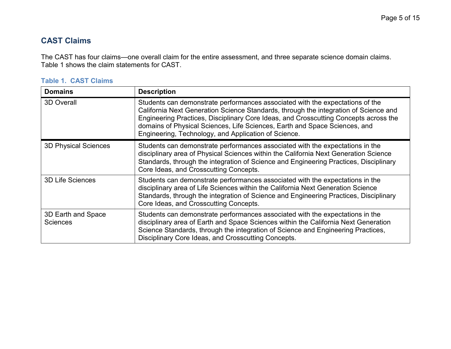## <span id="page-4-0"></span>**CAST Claims**

The CAST has four claims—one overall claim for the entire assessment, and three separate science domain claims. [Table 1](#page-4-1) shows the claim statements for CAST.

| <b>Domains</b>                        | <b>Description</b>                                                                                                                                                                                                                                                                                                                                                                                  |
|---------------------------------------|-----------------------------------------------------------------------------------------------------------------------------------------------------------------------------------------------------------------------------------------------------------------------------------------------------------------------------------------------------------------------------------------------------|
| 3D Overall                            | Students can demonstrate performances associated with the expectations of the<br>California Next Generation Science Standards, through the integration of Science and<br>Engineering Practices, Disciplinary Core Ideas, and Crosscutting Concepts across the<br>domains of Physical Sciences, Life Sciences, Earth and Space Sciences, and<br>Engineering, Technology, and Application of Science. |
| <b>3D Physical Sciences</b>           | Students can demonstrate performances associated with the expectations in the<br>disciplinary area of Physical Sciences within the California Next Generation Science<br>Standards, through the integration of Science and Engineering Practices, Disciplinary<br>Core Ideas, and Crosscutting Concepts.                                                                                            |
| <b>3D Life Sciences</b>               | Students can demonstrate performances associated with the expectations in the<br>disciplinary area of Life Sciences within the California Next Generation Science<br>Standards, through the integration of Science and Engineering Practices, Disciplinary<br>Core Ideas, and Crosscutting Concepts.                                                                                                |
| 3D Earth and Space<br><b>Sciences</b> | Students can demonstrate performances associated with the expectations in the<br>disciplinary area of Earth and Space Sciences within the California Next Generation<br>Science Standards, through the integration of Science and Engineering Practices,<br>Disciplinary Core Ideas, and Crosscutting Concepts.                                                                                     |

#### <span id="page-4-1"></span>**Table 1. CAST Claims**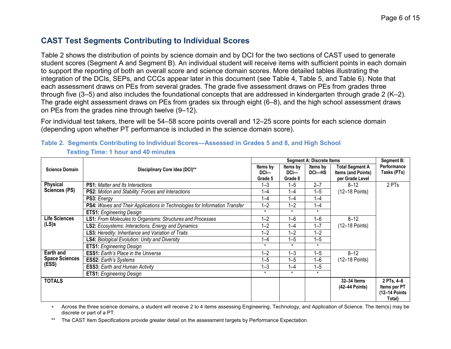## <span id="page-5-0"></span>**CAST Test Segments Contributing to Individual Scores**

[Table 2](#page-5-1) shows the distribution of points by science domain and by DCI for the two sections of CAST used to generate student scores (Segment A and Segment B). An individual student will receive items with sufficient points in each domain to support the reporting of both an overall score and science domain scores. More detailed tables illustrating the integration of the DCIs, SEPs, and CCCs appear later in this document (see [Table 4,](#page-7-1) [Table 5,](#page-9-1) and [Table 6\)](#page-11-1). Note that each assessment draws on PEs from several grades. The grade five assessment draws on PEs from grades three through five (3–5) and also includes the foundational concepts that are addressed in kindergarten through grade 2 (K–2). The grade eight assessment draws on PEs from grades six through eight (6–8), and the high school assessment draws on PEs from the grades nine through twelve (9–12).

For individual test takers, there will be 54–58 score points overall and 12–25 score points for each science domain (depending upon whether PT performance is included in the science domain score).

|                       |                                                                            |          |          | <b>Segment A: Discrete Items</b> |                        | <b>Segment B:</b> |
|-----------------------|----------------------------------------------------------------------------|----------|----------|----------------------------------|------------------------|-------------------|
| <b>Science Domain</b> | Disciplinary Core Idea (DCI)**                                             | Items by | Items by | Items by                         | <b>Total Segment A</b> | Performance       |
|                       |                                                                            | DCI      | DCI      | DCI-HS                           | Items (and Points)     | Tasks (PTs)       |
|                       |                                                                            | Grade 5  | Grade 8  |                                  | per Grade Level        |                   |
| <b>Physical</b>       | <b>PS1:</b> Matter and Its Interactions                                    | $1 - 3$  | $1 - 5$  | $2 - 7$                          | $8 - 12$               | 2 PTs             |
| Sciences (PS)         | PS2: Motion and Stability: Forces and Interactions                         | $1 - 4$  | $1 - 4$  | $1 - 5$                          | (12-18 Points)         |                   |
|                       | <b>PS3: Energy</b>                                                         | $1 - 4$  | $1 - 4$  | $1 - 4$                          |                        |                   |
|                       | PS4: Waves and Their Applications in Technologies for Information Transfer | $1 - 2$  | $1 - 2$  | $1 - 4$                          |                        |                   |
|                       | <b>ETS1:</b> Engineering Design                                            | $\star$  | $\star$  | $\star$                          |                        |                   |
| Life Sciences         | <b>LS1: From Molecules to Organisms: Structures and Processes</b>          | $1 - 2$  | $1 - 6$  | $1 - 6$                          | $8 - 12$               |                   |
| $(LS)$ s              | <b>LS2:</b> Ecosystems: Interactions, Energy and Dynamics                  | $1 - 2$  | $1 - 4$  | $1 - 7$                          | (12-18 Points)         |                   |
|                       | LS3: Heredity: Inheritance and Variation of Traits                         | $1 - 2$  | $1 - 2$  | $1 - 2$                          |                        |                   |
|                       | <b>LS4: Biological Evolution: Unity and Diversity</b>                      | $1 - 4$  | $1 - 5$  | $1 - 5$                          |                        |                   |
|                       | <b>ETS1:</b> Engineering Design                                            | $\star$  | $\star$  | $\star$                          |                        |                   |
| <b>Earth and</b>      | <b>ESS1:</b> Earth's Place in the Universe                                 | $1 - 2$  | $1 - 3$  | $1 - 5$                          | $8 - 12$               |                   |
| <b>Space Sciences</b> | <b>ESS2: Earth's Systems</b>                                               | $1 - 5$  | $1 - 5$  | $1 - 6$                          | (12-18 Points)         |                   |
| (ESS)                 | <b>ESS3: Earth and Human Activity</b>                                      | $1 - 3$  | $1 - 4$  | $1 - 5$                          |                        |                   |
|                       | <b>ETS1:</b> Engineering Design                                            | $\star$  | $\star$  | $\star$                          |                        |                   |
| <b>TOTALS</b>         |                                                                            |          |          |                                  | 32-34 Items            | 2 PTs, 4-6        |
|                       |                                                                            |          |          |                                  | (42-44 Points)         | Items per PT      |
|                       |                                                                            |          |          |                                  |                        | (12-14 Points     |
|                       |                                                                            |          |          |                                  |                        | Total)            |

<span id="page-5-1"></span>**Table 2. Segments Contributing to Individual Scores—Assessed in Grades 5 and 8, and High School Testing Time: 1 hour and 40 minutes** 

 Across the three science domains, a student will receive 2 to 4 items assessing Engineering, Technology, and Application of Science. The item(s) may be discrete or part of a PT.

\*\* The CAST Item Specifications provide greater detail on the assessment targets by Performance Expectation.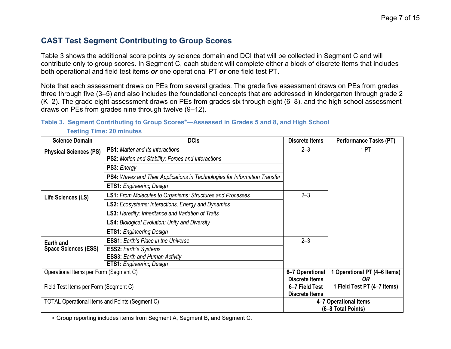## <span id="page-6-0"></span>**CAST Test Segment Contributing to Group Scores**

[Table 3](#page-6-1) shows the additional score points by science domain and DCI that will be collected in Segment C and will contribute only to group scores. In Segment C, each student will complete either a block of discrete items that includes both operational and field test items *or* one operational PT *or* one field test PT.

Note that each assessment draws on PEs from several grades. The grade five assessment draws on PEs from grades three through five (3–5) and also includes the foundational concepts that are addressed in kindergarten through grade 2 (K–2). The grade eight assessment draws on PEs from grades six through eight (6–8), and the high school assessment draws on PEs from grades nine through twelve (9–12).

#### <span id="page-6-1"></span>**Table 3. Segment Contributing to Group Scores\*—Assessed in Grades 5 and 8, and High School Testing Time: 20 minutes**

| <b>Science Domain</b>                                 | <b>DCIs</b>                                                                | <b>Discrete Items</b>                    | <b>Performance Tasks (PT)</b>               |
|-------------------------------------------------------|----------------------------------------------------------------------------|------------------------------------------|---------------------------------------------|
| <b>Physical Sciences (PS)</b>                         | <b>PS1:</b> Matter and Its Interactions                                    | $2 - 3$                                  | 1 PT                                        |
|                                                       | <b>PS2:</b> Motion and Stability: Forces and Interactions                  |                                          |                                             |
|                                                       | PS3: Energy                                                                |                                          |                                             |
|                                                       | PS4: Waves and Their Applications in Technologies for Information Transfer |                                          |                                             |
|                                                       | <b>ETS1:</b> Engineering Design                                            |                                          |                                             |
| Life Sciences (LS)                                    | <b>LS1: From Molecules to Organisms: Structures and Processes</b>          | $2 - 3$                                  |                                             |
|                                                       | <b>LS2:</b> Ecosystems: Interactions, Energy and Dynamics                  |                                          |                                             |
|                                                       | <b>LS3:</b> Heredity: Inheritance and Variation of Traits                  |                                          |                                             |
|                                                       | <b>LS4: Biological Evolution: Unity and Diversity</b>                      |                                          |                                             |
|                                                       | <b>ETS1:</b> Engineering Design                                            |                                          |                                             |
| Earth and                                             | <b>ESS1:</b> Earth's Place in the Universe                                 | $2 - 3$                                  |                                             |
| <b>Space Sciences (ESS)</b>                           | <b>ESS2: Earth's Systems</b>                                               |                                          |                                             |
|                                                       | <b>ESS3: Earth and Human Activity</b>                                      |                                          |                                             |
|                                                       | <b>ETS1:</b> Engineering Design                                            |                                          |                                             |
| Operational Items per Form (Segment C)                |                                                                            | 6-7 Operational<br><b>Discrete Items</b> | 1 Operational PT (4-6 Items)<br>0R          |
| Field Test Items per Form (Segment C)                 |                                                                            | 6-7 Field Test<br><b>Discrete Items</b>  | 1 Field Test PT (4-7 Items)                 |
| <b>TOTAL Operational Items and Points (Segment C)</b> |                                                                            |                                          | 4-7 Operational Items<br>(6-8 Total Points) |

Group reporting includes items from Segment A, Segment B, and Segment C.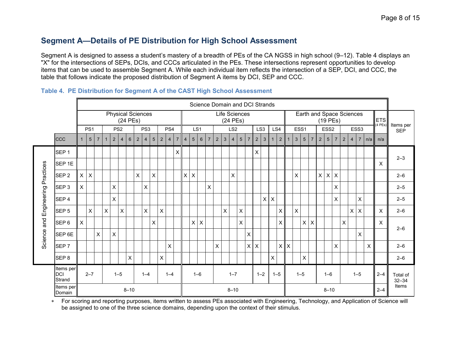## <span id="page-7-0"></span>**Segment A—Details of PE Distribution for High School Assessment**

Segment A is designed to assess a student's mastery of a breadth of PEs of the CA NGSS in high school (9–12). [Table 4](#page-7-1) displays an "X" for the intersections of SEPs, DCIs, and CCCs articulated in the PEs. These intersections represent opportunities to develop items that can be used to assemble Segment A. While each individual item reflects the intersection of a SEP, DCI, and CCC, the table that follows indicate the proposed distribution of Segment A items by DCI, SEP and CCC.

|             |                                   |                           |                 |                |   |                 |                |                |                          |                 |                |                |                |                           |                |                    |                |                |                |   |                           |                 | Science Domain and DCI Strands |                    |              |                |                                                     |             |              |                 |                |                       |                  |                           |                |                |                          |     |                      |                         |
|-------------|-----------------------------------|---------------------------|-----------------|----------------|---|-----------------|----------------|----------------|--------------------------|-----------------|----------------|----------------|----------------|---------------------------|----------------|--------------------|----------------|----------------|----------------|---|---------------------------|-----------------|--------------------------------|--------------------|--------------|----------------|-----------------------------------------------------|-------------|--------------|-----------------|----------------|-----------------------|------------------|---------------------------|----------------|----------------|--------------------------|-----|----------------------|-------------------------|
|             |                                   |                           |                 |                |   |                 |                | (24 PEs)       | <b>Physical Sciences</b> |                 |                |                |                |                           |                |                    |                |                |                |   | Life Sciences<br>(24 PEs) |                 |                                |                    |              |                |                                                     |             |              |                 |                |                       |                  | $(19$ PEs)                |                |                | Earth and Space Sciences |     | <b>ETS</b><br>(4PEs) |                         |
|             |                                   |                           | PS <sub>1</sub> |                |   | PS <sub>2</sub> |                |                |                          | PS <sub>3</sub> |                |                | PS4            |                           |                | LS <sub>1</sub>    |                |                |                |   | LS <sub>2</sub>           |                 |                                | LS <sub>3</sub>    |              | LS4            |                                                     |             | ESS1         |                 |                |                       | ESS <sub>2</sub> |                           |                |                | ESS3                     |     |                      | Items per<br><b>SEP</b> |
|             | <b>CCC</b>                        | $\mathbf{1}$              | $5\overline{5}$ | $\overline{7}$ |   | $2^{\circ}$     | $\overline{4}$ | $6\phantom{1}$ | $\overline{2}$           | $\overline{4}$  | $5\phantom{1}$ | $\overline{2}$ | $\overline{4}$ | $\overline{7}$            | $\overline{4}$ | $5\phantom{.0}$    | $6\phantom{1}$ | $\overline{7}$ | $\overline{2}$ | 3 | $\overline{4}$            | $5\phantom{.0}$ | $\overline{7}$                 | $\overline{2}$     | 3            | 1              | 2 <sup>1</sup>                                      | $\mathbf 1$ | $\mathbf{3}$ | $5\phantom{.0}$ | $\overline{7}$ | $2^{\circ}$           | 5 <sup>5</sup>   | $\overline{7}$            | $\overline{2}$ | $\overline{4}$ | $\overline{7}$           | n/a | n/a                  |                         |
|             | SEP <sub>1</sub>                  |                           |                 |                |   |                 |                |                |                          |                 |                |                |                | $\boldsymbol{\mathsf{X}}$ |                |                    |                |                |                |   |                           |                 |                                | $\pmb{\mathsf{X}}$ |              |                |                                                     |             |              |                 |                |                       |                  |                           |                |                |                          |     |                      |                         |
|             | SEP <sub>1E</sub>                 |                           |                 |                |   |                 |                |                |                          |                 |                |                |                |                           |                |                    |                |                |                |   |                           |                 |                                |                    |              |                |                                                     |             |              |                 |                |                       |                  |                           |                |                |                          |     | $\pmb{\times}$       | $2 - 3$                 |
| Practices   | SEP <sub>2</sub>                  | $\mathsf{X}$              | $\times$        |                |   |                 |                |                | $\pmb{\times}$           |                 | X              |                |                |                           | $\mathsf{X}$   | $\mathsf X$        |                |                |                |   | X                         |                 |                                |                    |              |                |                                                     |             | X            |                 |                | $\mathsf{X}$          | X                | $\boldsymbol{\mathsf{X}}$ |                |                |                          |     |                      | $2 - 6$                 |
|             | SEP <sub>3</sub>                  | $\mathsf{X}$              |                 |                |   | $\pmb{\times}$  |                |                |                          | $\mathsf{x}$    |                |                |                |                           |                |                    |                | X              |                |   |                           |                 |                                |                    |              |                |                                                     |             |              |                 |                |                       |                  | X                         |                |                |                          |     |                      | $2 - 5$                 |
| Engineering | SEP <sub>4</sub>                  |                           |                 |                |   | $\pmb{\times}$  |                |                |                          |                 |                |                |                |                           |                |                    |                |                |                |   |                           |                 |                                |                    | $\mathsf{X}$ | $\pmb{\times}$ |                                                     |             |              |                 |                |                       |                  | X                         |                |                | $\mathsf{X}$             |     |                      | $2 - 5$                 |
|             | SEP <sub>5</sub>                  |                           | $\mathsf{X}$    |                | X |                 | $\times$       |                |                          | $\mathsf{X}$    |                | X              |                |                           |                |                    |                |                |                | X |                           | X               |                                |                    |              |                | $\mathsf{X}$                                        |             | X            |                 |                |                       |                  |                           |                | $\pmb{\times}$ | X                        |     | X                    | $2 - 6$                 |
| and         | SEP <sub>6</sub>                  | $\boldsymbol{\mathsf{X}}$ |                 |                |   |                 |                |                |                          |                 | X              |                |                |                           |                | $\pmb{\mathsf{X}}$ | X              |                |                |   |                           | X               |                                |                    |              |                | X                                                   |             |              | X               | X              |                       |                  |                           | $\mathsf{x}$   |                |                          |     | $\pmb{\times}$       | $2 - 6$                 |
| Science a   | SEP <sub>6E</sub>                 |                           |                 | $\mathsf{X}$   |   | X               |                |                |                          |                 |                |                |                |                           |                |                    |                |                |                |   |                           |                 | $\mathsf{X}$                   |                    |              |                |                                                     |             |              |                 |                |                       |                  |                           |                |                | $\pmb{\times}$           |     |                      |                         |
|             | SEP <sub>7</sub>                  |                           |                 |                |   |                 |                |                |                          |                 |                |                | $\pmb{\times}$ |                           |                |                    |                |                | X              |   |                           |                 | $\pmb{\times}$                 | $\times$           |              |                |                                                     | $x \mid x$  |              |                 |                |                       |                  | X                         |                |                |                          | X   |                      | $2 - 6$                 |
|             | SEP <sub>8</sub>                  |                           |                 |                |   |                 |                | $\mathsf{X}$   |                          |                 |                | X              |                |                           |                |                    |                |                |                |   |                           |                 |                                |                    |              | $\mathsf{X}$   |                                                     |             |              | $\mathsf X$     |                |                       |                  |                           |                |                |                          |     |                      | $2 - 6$                 |
|             | Items per<br><b>DCI</b><br>Strand |                           | $2 - 7$         |                |   | $1 - 5$         |                |                |                          | $1 - 4$         |                |                | $1 - 4$        |                           |                | $1 - 6$            |                |                |                |   | $1 - 7$                   |                 |                                | $1 - 2$            |              |                | $1 - 5$<br>$2 - 4$<br>$1 - 5$<br>$1 - 5$<br>$1 - 6$ |             |              |                 |                | Total of<br>$32 - 34$ |                  |                           |                |                |                          |     |                      |                         |
|             | Items per<br>Domain               |                           |                 |                |   |                 |                | $8 - 10$       |                          |                 |                |                |                |                           |                |                    |                |                |                |   | $8 - 10$                  |                 |                                |                    |              |                | $8 - 10$<br>$2 - 4$                                 |             |              |                 |                | Items                 |                  |                           |                |                |                          |     |                      |                         |

#### <span id="page-7-1"></span>**Table 4. PE Distribution for Segment A of the CAST High School Assessment**

 For scoring and reporting purposes, items written to assess PEs associated with Engineering, Technology, and Application of Science will be assigned to one of the three science domains, depending upon the context of their stimulus.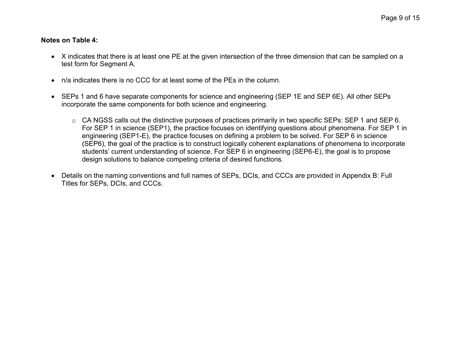#### **Notes on [Table 4:](#page-7-1)**

- X indicates that there is at least one PE at the given intersection of the three dimension that can be sampled on a test form for Segment A.
- n/a indicates there is no CCC for at least some of the PEs in the column.
- SEPs 1 and 6 have separate components for science and engineering (SEP 1E and SEP 6E). All other SEPs incorporate the same components for both science and engineering.
	- o CA NGSS calls out the distinctive purposes of practices primarily in two specific SEPs: SEP 1 and SEP 6. For SEP 1 in science (SEP1), the practice focuses on identifying questions about phenomena. For SEP 1 in engineering (SEP1-E), the practice focuses on defining a problem to be solved. For SEP 6 in science (SEP6), the goal of the practice is to construct logically coherent explanations of phenomena to incorporate students' current understanding of science. For SEP 6 in engineering (SEP6-E), the goal is to propose design solutions to balance competing criteria of desired functions.
- Details on the naming conventions and full names of SEPs, DCIs, and CCCs are provided in Appendix B: Full Titles for SEPs, DCIs, and CCCs.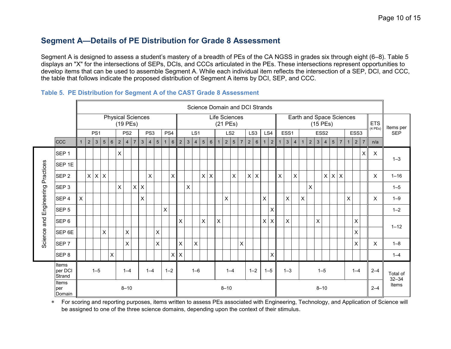## <span id="page-9-0"></span>**Segment A—Details of PE Distribution for Grade 8 Assessment**

Segment A is designed to assess a student's mastery of a breadth of PEs of the CA NGSS in grades six through eight (6–8). [Table 5](#page-9-1) displays an "X" for the intersections of SEPs, DCIs, and CCCs articulated in the PEs. These intersections represent opportunities to develop items that can be used to assemble Segment A. While each individual item reflects the intersection of a SEP, DCI, and CCC, the table that follows indicate the proposed distribution of Segment A items by DCI, SEP, and CCC.

|                |                               | Science Domain and DCI Strands |                |                 |              |                          |                           |                 |                |              |                |                 |              |                 |                |                |                |                 |                |              |                             |                 |                |             |                 |                           |                           |                |              |                |              |                          |              |                  |                 |                           |              |                  |                       |                            |            |
|----------------|-------------------------------|--------------------------------|----------------|-----------------|--------------|--------------------------|---------------------------|-----------------|----------------|--------------|----------------|-----------------|--------------|-----------------|----------------|----------------|----------------|-----------------|----------------|--------------|-----------------------------|-----------------|----------------|-------------|-----------------|---------------------------|---------------------------|----------------|--------------|----------------|--------------|--------------------------|--------------|------------------|-----------------|---------------------------|--------------|------------------|-----------------------|----------------------------|------------|
|                |                               |                                |                |                 |              | <b>Physical Sciences</b> |                           | (19 PEs)        |                |              |                |                 |              |                 |                |                |                |                 |                |              | Life Sciences<br>$(21$ PEs) |                 |                |             |                 |                           |                           |                |              |                |              | Earth and Space Sciences | $(15$ PEs)   |                  |                 |                           |              |                  |                       | <b>ETS</b><br>$(4$ PEs $)$ | Items per  |
|                |                               |                                |                | PS <sub>1</sub> |              |                          |                           | PS <sub>2</sub> |                |              | PS3            |                 |              | PS4             |                |                | LS1            |                 |                |              |                             | LS <sub>2</sub> |                |             | LS <sub>3</sub> |                           | LS4                       |                | ESS1         |                |              |                          |              | ESS <sub>2</sub> |                 |                           |              | ESS <sub>3</sub> |                       |                            | <b>SEP</b> |
|                | <b>CCC</b>                    | $\mathbf{1}$                   | $\overline{2}$ | 3               | 5            | $6\phantom{1}$           | $\overline{2}$            | $\overline{4}$  | $\overline{7}$ | $\mathbf{3}$ | $\overline{4}$ | $5\phantom{.0}$ | $\mathbf{1}$ | $6\overline{6}$ | $\overline{2}$ | $\mathfrak{S}$ | $\overline{4}$ | $5\overline{)}$ | $6\phantom{1}$ | $\mathbf{1}$ | 2 <sup>1</sup>              | $5\phantom{.0}$ | $\overline{7}$ | $\sqrt{2}$  | 6               | $\mathbf{1}$              | $2^{\circ}$               | $\overline{1}$ | $\mathbf{3}$ | $\overline{4}$ | $\mathbf 1$  | $\sqrt{2}$               | $\mathbf{3}$ | $\overline{4}$   | $5\phantom{.0}$ | $\overline{7}$            | $\mathbf{1}$ | $\overline{2}$   | $\overline{7}$        | n/a                        |            |
|                | SEP <sub>1</sub>              |                                |                |                 |              |                          | $\boldsymbol{\mathsf{X}}$ |                 |                |              |                |                 |              |                 |                |                |                |                 |                |              |                             |                 |                |             |                 |                           |                           |                |              |                |              |                          |              |                  |                 |                           |              |                  | X                     | X                          | $1 - 3$    |
|                | SEP <sub>1E</sub>             |                                |                |                 |              |                          |                           |                 |                |              |                |                 |              |                 |                |                |                |                 |                |              |                             |                 |                |             |                 |                           |                           |                |              |                |              |                          |              |                  |                 |                           |              |                  |                       |                            |            |
| Practices      | SEP <sub>2</sub>              |                                | $\mathsf{X}$   | $\pmb{\times}$  | $\times$     |                          |                           |                 |                |              | X              |                 |              | $\mathsf{X}$    |                |                |                | X               | X              |              |                             | X               |                | $\mathsf X$ | $\pmb{\times}$  |                           |                           | X              |              | X              |              |                          |              | $\mathsf{X}$     | $\vert x \vert$ | $\boldsymbol{\mathsf{X}}$ |              |                  |                       | X                          | $1 - 16$   |
|                | SEP <sub>3</sub>              |                                |                |                 |              |                          | $\boldsymbol{\mathsf{X}}$ |                 | $\mathsf{X}$   | X            |                |                 |              |                 |                | X              |                |                 |                |              |                             |                 |                |             |                 |                           |                           |                |              |                |              | X                        |              |                  |                 |                           |              |                  |                       |                            | $1 - 5$    |
| Engineering    | SEP <sub>4</sub>              | $\mathsf{X}$                   |                |                 |              |                          |                           |                 |                | X            |                |                 |              |                 |                |                |                |                 |                |              | X                           |                 |                |             |                 | $\boldsymbol{\mathsf{X}}$ |                           |                | X            |                | $\mathsf{X}$ |                          |              |                  |                 |                           | X            |                  |                       | X                          | $1 - 9$    |
|                | SEP <sub>5</sub>              |                                |                |                 |              |                          |                           |                 |                |              |                |                 | $\mathsf{x}$ |                 |                |                |                |                 |                |              |                             |                 |                |             |                 |                           | $\mathsf{X}$              |                |              |                |              |                          |              |                  |                 |                           |              |                  |                       |                            | $1 - 2$    |
| $\overline{a}$ | SEP <sub>6</sub>              |                                |                |                 |              |                          |                           |                 |                |              |                |                 |              |                 | $\mathsf{X}$   |                |                | X               |                | X            |                             |                 |                |             |                 | $\sf X$                   | $\mathsf X$               |                | X            |                |              |                          | X            |                  |                 |                           |              | X                |                       |                            | $1 - 12$   |
| Science        | <b>SEP 6E</b>                 |                                |                |                 | $\mathsf{X}$ |                          |                           | X               |                |              |                | $\mathsf{X}$    |              |                 |                |                |                |                 |                |              |                             |                 |                |             |                 |                           |                           |                |              |                |              |                          |              |                  |                 |                           |              | X                |                       |                            |            |
|                | SEP <sub>7</sub>              |                                |                |                 |              |                          |                           | X               |                |              |                | $\mathsf{x}$    |              |                 | $\mathsf{X}$   |                | X              |                 |                |              |                             |                 | X              |             |                 |                           |                           |                |              |                |              |                          |              |                  |                 |                           |              | X                |                       | X                          | $1 - 8$    |
|                | SEP <sub>8</sub>              |                                |                |                 |              | X                        |                           |                 |                |              |                |                 |              |                 | $x \mid x$     |                |                |                 |                |              |                             |                 |                |             |                 |                           | $\boldsymbol{\mathsf{X}}$ |                |              |                |              |                          |              |                  |                 |                           |              |                  |                       |                            | $1 - 4$    |
|                | Items<br>per DCI<br>Strand    |                                |                | $1 - 5$         |              |                          |                           | $1 - 4$         |                |              | $1 - 4$        |                 |              | $1 - 2$         |                |                | $1 - 6$        |                 |                |              |                             | $1 - 4$         |                |             | $1 - 2$         |                           | $1 - 5$                   |                | $1 - 3$      |                |              |                          |              | $1 - 5$          |                 |                           |              | $1 - 4$          | Total of<br>$32 - 34$ |                            |            |
|                | <b>Items</b><br>per<br>Domain |                                |                |                 |              |                          |                           | $8 - 10$        |                |              |                |                 |              |                 |                |                |                |                 |                |              | $8 - 10$                    |                 |                |             |                 | $8 - 10$                  |                           |                |              |                |              |                          | $2 - 4$      | Items            |                 |                           |              |                  |                       |                            |            |

#### <span id="page-9-1"></span>**Table 5. PE Distribution for Segment A of the CAST Grade 8 Assessment**

 For scoring and reporting purposes, items written to assess PEs associated with Engineering, Technology, and Application of Science will be assigned to one of the three science domains, depending upon the context of their stimulus.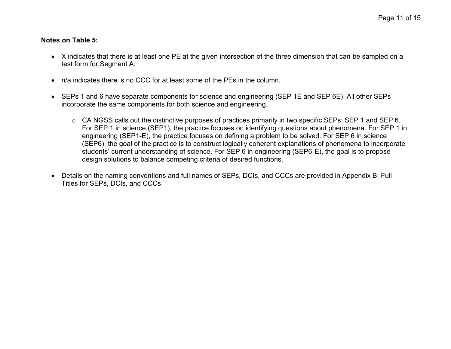#### **Notes on Table 5:**

- X indicates that there is at least one PE at the given intersection of the three dimension that can be sampled on a test form for Segment A.
- n/a indicates there is no CCC for at least some of the PEs in the column.
- SEPs 1 and 6 have separate components for science and engineering (SEP 1E and SEP 6E). All other SEPs incorporate the same components for both science and engineering.
	- o CA NGSS calls out the distinctive purposes of practices primarily in two specific SEPs: SEP 1 and SEP 6. For SEP 1 in science (SEP1), the practice focuses on identifying questions about phenomena. For SEP 1 in engineering (SEP1-E), the practice focuses on defining a problem to be solved. For SEP 6 in science (SEP6), the goal of the practice is to construct logically coherent explanations of phenomena to incorporate students' current understanding of science. For SEP 6 in engineering (SEP6-E), the goal is to propose design solutions to balance competing criteria of desired functions.
- Details on the naming conventions and full names of SEPs, DCIs, and CCCs are provided in Appendix B: Full Titles for SEPs, DCIs, and CCCs.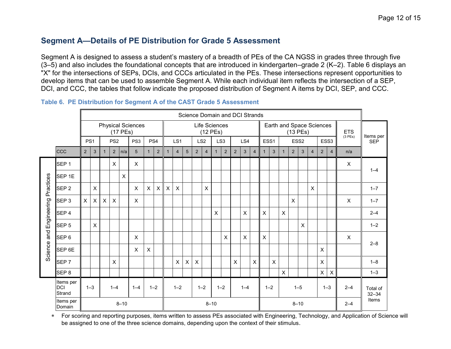## <span id="page-11-0"></span>**Segment A—Details of PE Distribution for Grade 5 Assessment**

Segment A is designed to assess a student's mastery of a breadth of PEs of the CA NGSS in grades three through five (3–5) and also includes the foundational concepts that are introduced in kindergarten–grade 2 (K–2). [Table 6](#page-11-1) displays an "X" for the intersections of SEPs, DCIs, and CCCs articulated in the PEs. These intersections represent opportunities to develop items that can be used to assemble Segment A. While each individual item reflects the intersection of a SEP, DCI, and CCC, the tables that follow indicate the proposed distribution of Segment A items by DCI, SEP, and CCC.

|             |                                   |                           |                                                                                                                                                                                                |   |                           |              |                |                |                |                |                |                |                |                |                           |                |                          | Science Domain and DCI Strands |                     |                           |                                          |                |                |              |                |                  |                           |                |            |
|-------------|-----------------------------------|---------------------------|------------------------------------------------------------------------------------------------------------------------------------------------------------------------------------------------|---|---------------------------|--------------|----------------|----------------|----------------|----------------|----------------|----------------|----------------|----------------|---------------------------|----------------|--------------------------|--------------------------------|---------------------|---------------------------|------------------------------------------|----------------|----------------|--------------|----------------|------------------|---------------------------|----------------|------------|
|             |                                   |                           | <b>Physical Sciences</b><br>Life Sciences<br>$(12$ PEs)<br>$(17$ PEs)<br>PS <sub>2</sub><br>PS <sub>3</sub><br>LS <sub>2</sub><br>PS4<br>LS <sub>1</sub><br>LS <sub>3</sub><br>PS <sub>1</sub> |   |                           |              |                |                |                |                |                |                |                |                |                           |                | Earth and Space Sciences |                                |                     | $(13$ PEs)                |                                          |                |                | <b>ETS</b>   | Items per      |                  |                           |                |            |
|             |                                   |                           |                                                                                                                                                                                                |   |                           |              |                |                |                |                |                |                |                |                |                           |                |                          | LS4                            |                     |                           | ESS1                                     |                |                | ESS2         |                | ESS <sub>3</sub> |                           | (3PEs)         | <b>SEP</b> |
|             | ccc                               | $\overline{2}$            | $\mathbf{3}$                                                                                                                                                                                   |   | 2                         | n/a          | 5              | 1              | $\overline{2}$ | $\mathbf{1}$   | $\overline{4}$ | $\overline{5}$ | $\overline{2}$ | $\overline{4}$ | $\mathbf 1$               | $\overline{2}$ | $\overline{2}$           | $\mathbf{3}$                   | $\overline{4}$      | $\mathbf{1}$              | $\mathbf{3}$                             | $\mathbf{1}$   | $\overline{2}$ | 3            | $\overline{4}$ | $\overline{2}$   | $\overline{4}$            | n/a            |            |
|             | SEP <sub>1</sub>                  |                           |                                                                                                                                                                                                |   | $\boldsymbol{\mathsf{X}}$ |              | $\pmb{\times}$ |                |                |                |                |                |                |                |                           |                |                          |                                |                     |                           |                                          |                |                |              |                |                  |                           | $\pmb{\times}$ | $1 - 4$    |
|             | SEP <sub>1E</sub>                 |                           |                                                                                                                                                                                                |   |                           | $\mathsf{X}$ |                |                |                |                |                |                |                |                |                           |                |                          |                                |                     |                           |                                          |                |                |              |                |                  |                           |                |            |
| Practices   | SEP <sub>2</sub>                  |                           | $\pmb{\times}$                                                                                                                                                                                 |   |                           |              | $\pmb{\times}$ | $\mathsf{X}$   | $\mathsf{X}$   | $\pmb{\times}$ | $\times$       |                |                | X              |                           |                |                          |                                |                     |                           |                                          |                |                |              | X              |                  |                           |                | $1 - 7$    |
|             | SEP <sub>3</sub>                  | $\boldsymbol{\mathsf{X}}$ | X                                                                                                                                                                                              | X | $\boldsymbol{\mathsf{X}}$ |              | X              |                |                |                |                |                |                |                |                           |                |                          |                                |                     |                           |                                          |                | X              |              |                |                  |                           | X              | $1 - 7$    |
| Engineering | SEP <sub>4</sub>                  |                           |                                                                                                                                                                                                |   |                           |              |                |                |                |                |                |                |                |                | $\boldsymbol{\mathsf{X}}$ |                |                          | $\sf X$                        |                     | $\times$                  |                                          | $\sf X$        |                |              |                |                  |                           |                | $2 - 4$    |
|             | SEP <sub>5</sub>                  |                           | $\pmb{\times}$                                                                                                                                                                                 |   |                           |              |                |                |                |                |                |                |                |                |                           |                |                          |                                |                     |                           |                                          |                |                | $\mathsf{X}$ |                |                  |                           |                | $1 - 2$    |
| and         | SEP <sub>6</sub>                  |                           |                                                                                                                                                                                                |   |                           |              | $\pmb{\times}$ |                |                |                |                |                |                |                |                           | X              |                          | X                              |                     | $\boldsymbol{\mathsf{X}}$ |                                          |                |                |              |                |                  |                           | X              | $2 - 8$    |
| Science     | SEP 6E                            |                           |                                                                                                                                                                                                |   |                           |              | $\times$       | $\pmb{\times}$ |                |                |                |                |                |                |                           |                |                          |                                |                     |                           |                                          |                |                |              |                | $\times$         |                           |                |            |
|             | SEP <sub>7</sub>                  |                           |                                                                                                                                                                                                |   | X                         |              |                |                |                |                | $\times$       | $\times$       | X              |                |                           |                | X                        |                                | $\pmb{\times}$      |                           | $\mathsf{X}$                             |                |                |              |                | X                |                           |                | $1 - 8$    |
|             | SEP <sub>8</sub>                  |                           |                                                                                                                                                                                                |   |                           |              |                |                |                |                |                |                |                |                |                           |                |                          |                                |                     |                           |                                          | $\pmb{\times}$ |                |              |                | $\times$         | $\boldsymbol{\mathsf{X}}$ |                | $1 - 3$    |
|             | Items per<br><b>DCI</b><br>Strand |                           | $1 - 3$                                                                                                                                                                                        |   | $1 - 4$                   |              | $1 - 4$        |                | $1 - 2$        |                | $1 - 2$        |                | $1 - 2$        |                | $1 - 2$                   |                |                          | $1 - 4$                        |                     |                           | $1 - 5$<br>$1 - 3$<br>$1 - 2$<br>$2 - 4$ |                |                |              |                |                  | Total of<br>$32 - 34$     |                |            |
|             | Items per<br>Domain               |                           |                                                                                                                                                                                                |   |                           | $8 - 10$     |                |                |                |                |                |                |                | $8 - 10$       |                           |                |                          |                                | $8 - 10$<br>$2 - 4$ |                           |                                          |                |                |              |                | Items            |                           |                |            |

#### <span id="page-11-1"></span>**Table 6. PE Distribution for Segment A of the CAST Grade 5 Assessment**

 For scoring and reporting purposes, items written to assess PEs associated with Engineering, Technology, and Application of Science will be assigned to one of the three science domains, depending upon the context of their stimulus.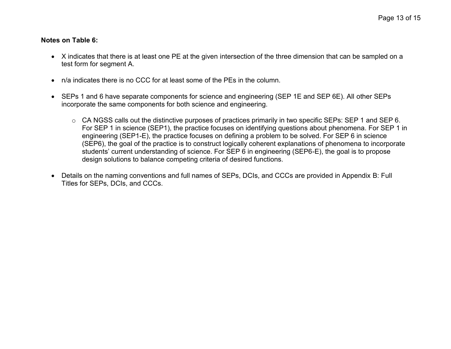#### **Notes on Table 6:**

- X indicates that there is at least one PE at the given intersection of the three dimension that can be sampled on a test form for segment A.
- n/a indicates there is no CCC for at least some of the PEs in the column.
- SEPs 1 and 6 have separate components for science and engineering (SEP 1E and SEP 6E). All other SEPs incorporate the same components for both science and engineering.
	- o CA NGSS calls out the distinctive purposes of practices primarily in two specific SEPs: SEP 1 and SEP 6. For SEP 1 in science (SEP1), the practice focuses on identifying questions about phenomena. For SEP 1 in engineering (SEP1-E), the practice focuses on defining a problem to be solved. For SEP 6 in science (SEP6), the goal of the practice is to construct logically coherent explanations of phenomena to incorporate students' current understanding of science. For SEP 6 in engineering (SEP6-E), the goal is to propose design solutions to balance competing criteria of desired functions.
- Details on the naming conventions and full names of SEPs, DCIs, and CCCs are provided in Appendix B: Full Titles for SEPs, DCIs, and CCCs.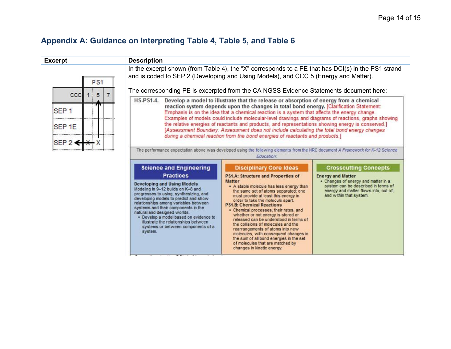## <span id="page-13-0"></span>**Appendix A: Guidance on Interpreting [Table 4,](#page-7-1) [Table 5,](#page-9-1) and [Table 6](#page-11-1)**

| <b>Excerpt</b>                                                                          | <b>Description</b>                                                                                                                                                                                                                                                                                                                                                                                                                                                   |                                                                                                                                                                                                                                                                                                                                                                                                                                                                                                                                                                                                                                                                                 |                                                                                                                                                                                                            |
|-----------------------------------------------------------------------------------------|----------------------------------------------------------------------------------------------------------------------------------------------------------------------------------------------------------------------------------------------------------------------------------------------------------------------------------------------------------------------------------------------------------------------------------------------------------------------|---------------------------------------------------------------------------------------------------------------------------------------------------------------------------------------------------------------------------------------------------------------------------------------------------------------------------------------------------------------------------------------------------------------------------------------------------------------------------------------------------------------------------------------------------------------------------------------------------------------------------------------------------------------------------------|------------------------------------------------------------------------------------------------------------------------------------------------------------------------------------------------------------|
| P <sub>S1</sub>                                                                         | In the excerpt shown (from Table 4), the "X" corresponds to a PE that has DCI(s) in the PS1 strand<br>and is coded to SEP 2 (Developing and Using Models), and CCC 5 (Energy and Matter).<br>The corresponding PE is excerpted from the CA NGSS Evidence Statements document here:                                                                                                                                                                                   |                                                                                                                                                                                                                                                                                                                                                                                                                                                                                                                                                                                                                                                                                 |                                                                                                                                                                                                            |
| CCC<br>5<br>SEP <sub>1</sub><br>anan dan<br>SEP <sub>1E</sub><br><br>SEP $2 \leftarrow$ | <b>HS-PS1-4.</b>                                                                                                                                                                                                                                                                                                                                                                                                                                                     | Develop a model to illustrate that the release or absorption of energy from a chemical<br>reaction system depends upon the changes in total bond energy. [Clarification Statement:<br>Emphasis is on the idea that a chemical reaction is a system that affects the energy change.<br>Examples of models could include molecular-level drawings and diagrams of reactions, graphs showing<br>the relative energies of reactants and products, and representations showing energy is conserved.]<br>[Assessment Boundary: Assessment does not include calculating the total bond energy changes<br>during a chemical reaction from the bond energies of reactants and products.] |                                                                                                                                                                                                            |
| ,,,,,,,,,,,,,,,,,,,,,,,,,,,                                                             |                                                                                                                                                                                                                                                                                                                                                                                                                                                                      | The performance expectation above was developed using the following elements from the NRC document A Framework for K-12 Science<br>Education:                                                                                                                                                                                                                                                                                                                                                                                                                                                                                                                                   |                                                                                                                                                                                                            |
|                                                                                         | <b>Science and Engineering</b><br><b>Practices</b><br><b>Developing and Using Models</b><br>Modeling in 9-12 builds on K-8 and<br>progresses to using, synthesizing, and<br>developing models to predict and show<br>relationships among variables between<br>systems and their components in the<br>natural and designed worlds.<br>· Develop a model based on evidence to<br>illustrate the relationships between<br>systems or between components of a<br>system. | <b>Disciplinary Core Ideas</b><br><b>PS1.A: Structure and Properties of</b><br><b>Matter</b><br>. A stable molecule has less energy than<br>the same set of atoms separated; one<br>must provide at least this energy in<br>order to take the molecule apart.<br><b>PS1.B: Chemical Reactions</b><br>• Chemical processes, their rates, and<br>whether or not energy is stored or<br>released can be understood in terms of<br>the collisions of molecules and the<br>rearrangements of atoms into new<br>molecules, with consequent changes in<br>the sum of all bond energies in the set<br>of molecules that are matched by<br>changes in kinetic energy.                    | <b>Crosscutting Concepts</b><br><b>Energy and Matter</b><br>• Changes of energy and matter in a<br>system can be described in terms of<br>energy and matter flows into, out of,<br>and within that system. |